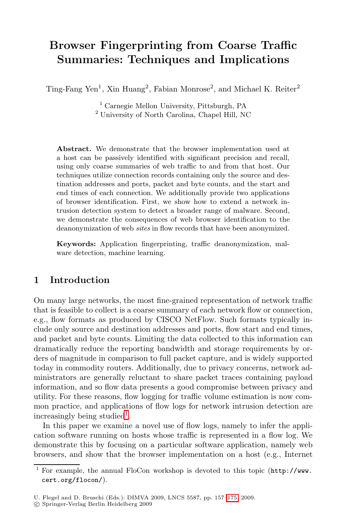# **Browser Fingerprinting from Coarse Traffic Summaries: Techniques and Implications**

Ting-Fang Yen<sup>1</sup>, Xin Huang<sup>2</sup>, Fabian Monrose<sup>2</sup>, and Michael K. Reiter<sup>2</sup>

<sup>1</sup> Carnegie Mellon University, Pittsburgh, PA <sup>2</sup> University of North Carolina, Chapel Hill, NC

**Abstract.** We demonstrate that the browser implementation used at a host can be passively identified with significant precision and recall, using only coarse summaries of web traffic to and from that host. Our techniques utilize connection records containing only the source and destination addresses and ports, packet and byte counts, and the start and end times of each connection. We additionally provide two applications of browser identification. First, we show how to extend a network intrusion detection system to detect a broader range of malware. Second, we demonstrate the consequences of web browser identification to the deanonymization of web *sites* in flow records that have been anonymized.

**Keywords:** Application fingerprinting, traffic deanonymization, malware detection, machine learning.

## **1 Introduction**

On many large networks, the most fine-grained representation of network traffic that is feasible to collect is a coarse summary of each network flow or connection, e.g., flow formats as produced by CISCO NetFlow. Such formats typically include only source and destination addresses and ports, flow start and end times, and p[ack](#page-0-0)et and byte counts. Limiting the data collected to this information can dramatically reduce the reporting bandwidth and storage requirements by orders of magnitude in comparison to full packet capture, and is widely supported today in commodity routers. Additionally, due to privacy concerns, network administrators are generally reluctant to share packet traces containing payload information, and so flow data presents a good compromise between privacy and utility. For these reasons, flow logging for traffic [volume estim](http://www.cert.org/flocon/)ation is now com[m](http://www.cert.org/flocon/)on practice, and applications of flow logs for network intrusion detection are  $increasingly being studied<sup>1</sup>.$ 

<span id="page-0-0"></span>In this paper we examine a nove[l](#page-18-0) [use](#page-18-0) of flow logs, namely to infer the application software running on hosts whose traffic is represented in a flow log. We demonstrate this by focusing on a particular software application, namely web browsers, and show that the browser implementation on a host (e.g., Internet

<sup>1</sup> For example, the annual FloCon workshop is devoted to this topic (http://www. cert.org/flocon/).

U. Flegel and D. Bruschi (Eds.): DIMVA 2009, LNCS 5587, pp. 157–175, 2009.

<sup>-</sup>c Springer-Verlag Berlin Heidelberg 2009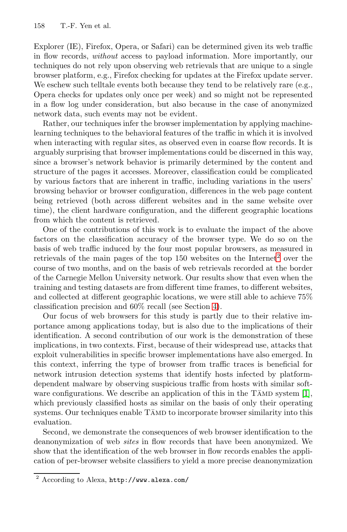Explorer (IE), Firefox, Opera, or Safari) can be determined given its web traffic in flow records, *without* access to payload information. More importantly, our techniques do not rely upon observing web retrievals that are unique to a single browser platform, e.g., Firefox checking for updates at the Firefox update server. We eschew such telltale events both because they tend to be relatively rare (e.g., Opera checks for updates only once per week) and so might not be represented in a flow log under consideration, but also because in the case of anonymized network data, such events may not be evident.

Rather, our techniques infer the browser implementation by applying machinelearning techniques to the behavioral features of the traffic in which it is involved when interacting with regular sites, as observed even in coarse flow records. It is arguably surprising that browser implementations could be discerned in this way, since a browser's network behavior is primarily determined by the content and structure of the pages it accesses. Moreover, classification could be complicated by various factors that are inherent in traffic, inc[lu](#page-1-0)ding variations in the users' browsing behavior or browser configuration, differences in the web page content being retrieved (both across different websites and in the same website over time), the client hardware configuration, and the different geographic locations from which the content is retrieved.

One of the contributions of t[hi](#page-5-0)s work is to evaluate the impact of the above factors on the classification accuracy of the browser type. We do so on the basis of web traffic induced by the four most popular browsers, as measured in retrievals of the main pages of the top 150 websites on the Internet<sup>2</sup> over the course of two months, and on the basis of web retrievals recorded at the border of the Carnegie Mellon University network. Our results show that even when the training and testing datasets are from different time frames, to different websites, and collected at different geographic locations, we were still able to achieve 75% classification precision and 60% recall (see Section 4).

Our focus of web browsers for this study is partly du[e t](#page-16-0)o their relative importance among applications today, but is also due to the implications of their identification. A second contribution of our work is the demonstration of these implications, in two contexts. First, because of their widespread use, attacks that exploit vulnerabilities in specific browser implementations have also emerged. In this context, inferring the type of browser from traffic traces is beneficial for network intrusion detection systems that identify hosts infected by platformdependent malware by observing suspicious traffic from hosts with similar software configurations. We describe an application of this in the  $T\bar{A}MD$  system [1], w[hich previously classified](http://www.alexa.com/) hosts as similar on the basis of only their operating systems. Our techniques enable  $T\bar{A}MD$  to incorporate browser similarity into this evaluation.

<span id="page-1-0"></span>Second, we demonstrate the consequences of web browser identification to the deanonymization of web *sites* in flow records that have been anonymized. We show that the identification of the web browser in flow records enables the application of per-browser website classifiers to yield a more precise deanonymization

<sup>2</sup> According to Alexa, http://www.alexa.com/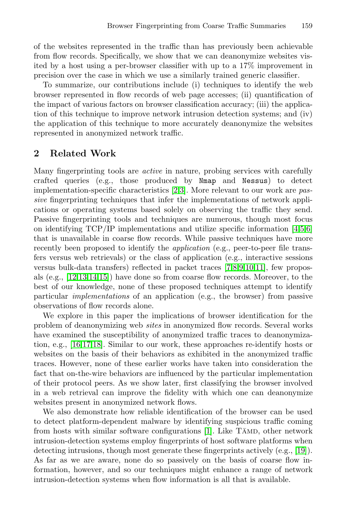of the websites represented in the traffic than has previously been achievable from flow records. Specifically, we show that we can deanonymize websites visited by a host using a per-browser classifier with up to a 17% improvement in precision over the case in which we use a similarly trained generic classifier.

To summarize, our contributions include (i) techniques to identify the web browser represented in flow records of web page accesses; (ii) quantification of the impact of various factors on browser classification accuracy; (iii) the application of this techniqu[e](#page-16-1) [to](#page-17-0) improve network intrusion detection systems; and (iv) the application of this technique to more accurately deanonymize the websites represented in anonymized network traffic.

## **2 Related Work**

Many fingerprinting tools are *active* in nature, probing services with carefully crafted queries (e.g., those produced by Nmap and Nessus) to detect implementation-specific characteris[tic](#page-17-1)[s](#page-17-2) [\[2](#page-17-3)[,3\].](#page-17-4) [M](#page-17-5)ore relevant to our work are *pas[siv](#page-17-6)e* fingerprinting techniques that infer the implementations of network applications or operating systems based solely on observing the traffic they send. Passive fingerprinting tools and techniques are numerous, though most focus on identifying TCP/IP implementations and utilize specific information [4,5,6] that is unavailable in coarse flow records. While passive techniques have more recently been proposed to identify the *application* (e.g., peer-to-peer file transfers versus web retrievals) or the class of application (e.g., interactive sessions [v](#page-17-7)ersus bulk-data transfers) reflected in packet traces [7,8,9,10,11], few proposals (e.g., [12,13,14,15]) have done so from coarse flow records. Moreover, to the best of our knowledge, none of these proposed techniques attempt to identify particular *implementations* of an application (e.g., the browser) from passive observations of flow records alone.

We explore in this paper the implications of browser identification for the problem of deanonymizing web *sites* in anonymized flow records. Several works have examined the susceptibility of anonymized traffic traces to deanonymization, e.g., [16,17,18]. Similar to our work, these approaches re-identify hosts or websites on the basis of their [b](#page-16-0)ehaviors as exhibited in the anonymized traffic traces. However, none of these earlier works have taken into consideration the fact that on-the-wire behaviors are influenced by the pa[rtic](#page-18-1)ular implementation of their protocol peers. As we show later, first classifying the browser involved in a web retrieval can improve the fidelity with which one can deanonymize websites present in anonymized network flows.

We also demonstrate how reliable identification of the browser can be used to detect platform-dependent malware by identifying suspicious traffic coming from hosts with similar software configurations [1]. Like  $T\overline{A}MD$ , other network intrusion-detection systems employ fingerprints of host software platforms when detecting intrusions, though most generate these fingerprints actively (e.g., [19]). As far as we are aware, none do so passively on the basis of coarse flow information, however, and so our techniques might enhance a range of network intrusion-detection systems when flow information is all that is available.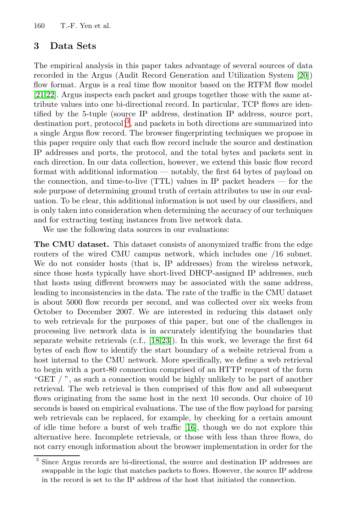## <span id="page-3-1"></span>**3 D[a](#page-3-0)ta Sets**

The empirical analysis in this paper takes advantage of several sources of data recorded in the Argus (Audit Record Generation and Utilization System [20]) flow format. Argus is a real time flow monitor based on the RTFM flow model [21,22]. Argus inspects each packet and groups together those with the same attribute values into one bi-directional record. In particular, TCP flows are identified by the 5-tuple (source IP address, destination IP address, source port, destination port,  $protocol$ <sup>3</sup>, and packets in both directions are summarized into a single Argus flow record. The browser fingerprinting techniques we propose in this paper require only that each flow record include the source and destination IP addresses and ports, the protocol, and the total bytes and packets sent in each direction. In our data collection, however, we extend this basic flow record format with additional information — notably, the first 64 bytes of payload on the connection, and time-to-live (TTL) values in IP packet headers — for the sole purpose of determining ground truth of certain attributes to use in our evaluation. To be clear, this additional information is not used by our classifiers, and is only taken into consideration when determining the accuracy of our techniques and for extracting testing instances from live network data.

We use the following data sources in our evaluations:

**The CMU dataset.** This dataset consists of anonymized traffic from the edge routers of the wired CMU campus network, which includes one /16 subnet. We do not c[onsi](#page-17-7)[der](#page-18-2) hosts (that is, IP addresses) from the wireless network, since those hosts typically have short-lived DHCP-assigned IP addresses, such that hosts using different browsers may be associated with the same address, leading to inconsistencies in the data. The rate of the traffic in the CMU dataset is about 5000 flow records per second, and was collected over six weeks from October to December 2007. We are interested in reducing this dataset only to web retrievals for the purposes of this paper, but one of the challenges in processing live network data is in accurately identifying the boundaries that separate website retrievals (c.f., [18,23]). In this work, we leverage the first 64 bytes of each flow to id[enti](#page-17-8)fy the start boundary of a website retrieval from a host internal to the CMU network. More specifically, we define a web retrieval to begin with a port-80 connection comprised of an HTTP request of the form "GET / ", as such a connection would be highly unlikely to be part of another retrieval. The web retrieval is then comprised of this flow and all subsequent flows originating from the same host in the next 10 seconds. Our choice of 10 seconds is based on empirical evaluations. The use of the flow payload for parsing web retrievals can be replaced, for example, by checking for a certain amount of idle time before a burst of web traffic [16], though we do not explore this alternative here. Incomplete retrievals, or those with less than three flows, do not carry enough information about the browser implementation in order for the

<span id="page-3-0"></span><sup>3</sup> Since Argus records are bi-directional, the source and destination IP addresses are swappable in the logic that matches packets to flows. However, the source IP address in the record is set to the IP address of the host that initiated the connection.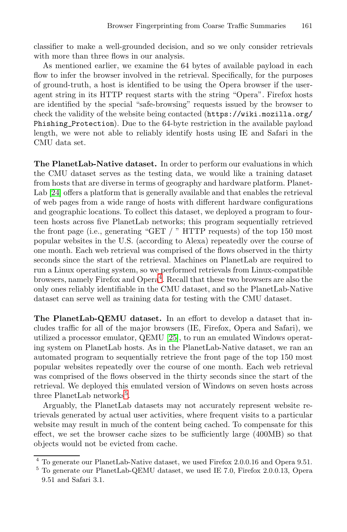[class](https://wiki.mozilla.org/Phishing_Protection)ifier to make a well-grou[nded](https://wiki.mozilla.org/Phishing_Protection) [decision,](https://wiki.mozilla.org/Phishing_Protection) [and](https://wiki.mozilla.org/Phishing_Protection) [so](https://wiki.mozilla.org/Phishing_Protection) [we](https://wiki.mozilla.org/Phishing_Protection) [only](https://wiki.mozilla.org/Phishing_Protection) consider retrievals with more than three flows in our analysis.

As mentioned earlier, we examine the 64 bytes of available payload in each flow to infer the browser involved in the retrieval. Specifically, for the purposes of ground-truth, a host is identified to be using the Opera browser if the useragent string in its HTTP request starts with the string "Opera". Firefox hosts are identified by the special "safe-browsing" requests issued by the browser to check the validity of the website being contacted (https://wiki.mozilla.org/ Phishing\_Protection). Due to the 64-byte restriction in the available payload length, we were not able to reliably identify hosts using IE and Safari in the CMU data set.

**The PlanetLab-Native dataset.** In order to perform our evaluations in which the CMU dataset serves as the testing data, we would like a training dataset from hosts that are diverse in terms of geography and hardware platform. Planet-Lab [24] offers a platform that is generally available and that enables the retrieval of web pages fro[m](#page-4-0) a wide range of hosts with different hardware configurations and geographic locations. To collect this dataset, we deployed a program to fourteen hosts across five PlanetLab networks; this program sequentially retrieved the front page (i.e., generating "GET / " HTTP requests) of the top 150 most popular websites in the U.S. (according to Alexa) repeatedly over the course of one month. Each web retrieval was comprised of the flows observed in the thirty seconds since the s[tart](#page-18-3) of the retrieval. Machines on PlanetLab are required to run a Linux operating system, so we performed retrievals from Linux-compatible browsers, namely Firefox and Opera<sup>4</sup>. Recall that these two browsers are also the only ones reliably identifiable in the CMU dataset, and so the PlanetLab-Native dataset can serve well as training data for testing with the CMU dataset.

**The [Pl](#page-4-1)anetLab-QEMU dataset.** In an effort to develop a dataset that includes traffic for all of the major browsers (IE, Firefox, Opera and Safari), we utilized a processor emulator, QEMU [25], to run an emulated Windows operating system on PlanetLab hosts. As in the PlanetLab-Native dataset, we ran an automated program to sequentially retrieve the front page of the top 150 most popular websites repeatedly over the course of one month. Each web retrieval was comprised of the flows observed in the thirty seconds since the start of the retrieval. We deployed this emulated version of Windows on seven hosts across three PlanetLab networks<sup>5</sup>.

<span id="page-4-1"></span><span id="page-4-0"></span>Arguably, the PlanetLab datasets may not accurately represent website retrievals generated by actual user activities, where frequent visits to a particular website may result in much of the content being cached. To compensate for this effect, we set the browser cache sizes to be sufficiently large (400MB) so that objects would not be evicted from cache.

<sup>4</sup> To generate our PlanetLab-Native dataset, we used Firefox 2.0.0.16 and Opera 9.51.

<sup>5</sup> To generate our PlanetLab-QEMU dataset, we used IE 7.0, Firefox 2.0.0.13, Opera 9.51 and Safari 3.1.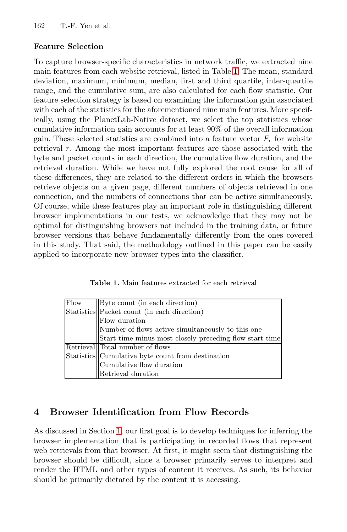#### **Feature Selection**

To capture browser-specific characteristics in network traffic, we extracted nine main features from each website retrieval, listed in Table 1. The mean, standard deviation, maximum, minimum, median, first and third quartile, inter-quartile range, and the cumulative sum, are also calculated for each flow statistic. Our feature selection strategy is based on examining the information gain associated with each of the statistics for the aforementioned nine main features. More specifically, using the PlanetLab-Native dataset, we select the top statistics whose cumulative information gain accounts for at least 90% of the overall information gain. These selected statistics are combined into a feature vector  $F_r$  for website retrieval *r*. Among the most important features are those associated with the byte and packet counts in each direction, the cumulative flow duration, and the retrieval duration. While we have not fully explored the root cause for all of these differences, they are related to the different orders in which the browsers retrieve objects on a given page, different numbers of objects retrieved in one connection, and the numbers of connections that can be active simultaneously. Of course, while these features play an important role in distinguishing different browser implementations in our tests, we acknowledge that they may not be optimal for distinguishing browsers not included in the training data, or future browser versions that behave fundamentally differently from the ones covered in this study. That said, the methodology outlined in this paper can be easily applied to incorporate new browser types into the classifier.

| <b>Table 1.</b> Main features extracted for each retrieval |  |
|------------------------------------------------------------|--|
|------------------------------------------------------------|--|

<span id="page-5-0"></span>

| Flow Byte count (in each direction)<br>Statistics Packet count (in each direction) |  |  |  |  |
|------------------------------------------------------------------------------------|--|--|--|--|
| Flow duration                                                                      |  |  |  |  |
| Number of flows active simultaneously to this one                                  |  |  |  |  |
| Start time minus most closely preceding flow start time                            |  |  |  |  |
| Retrieval Total number of flows                                                    |  |  |  |  |
| Statistics Cumulative byte count from destination                                  |  |  |  |  |
| Cumulative flow duration                                                           |  |  |  |  |
| Retrieval duration                                                                 |  |  |  |  |

# **4 Browser Identification from Flow Records**

As discussed in Section 1, our first goal is to develop techniques for inferring the browser implementation that is participating in recorded flows that represent web retrievals from that browser. At first, it might seem that distinguishing the browser should be difficult, since a browser primarily serves to interpret and render the HTML and other types of content it receives. As such, its behavior should be primarily dictated by the content it is accessing.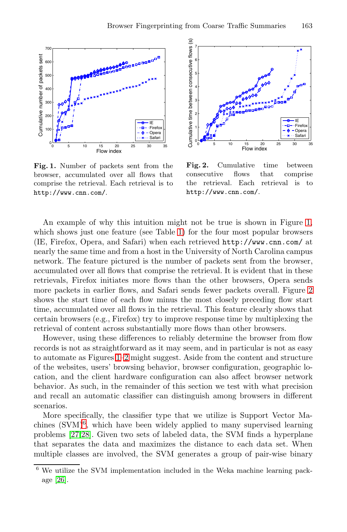<span id="page-6-0"></span>

<span id="page-6-1"></span>

**Fig. 1.** Number of packets sent from the browser, accumulated over all flows that comprise the retrieval. Each retrieval is to http://www.cnn.com/.

**[Fig. 2.](http://www.cnn.com/)** Cumulative time between consecutive flows that comprise the retrieval. Each retrieval is to http://www.cnn.com/.

An example of why this intuition might not be true is [s](#page-6-1)hown in Figure 1, which shows just one feature (see Table 1) for the four most popular browsers (IE, Firefox, Opera, and Safari) when each retrieved http://www.cnn.com/ at nearly the same time and from a host in the University of North Carolina campus network. The feature pictured is the number of packets sent from the browser, accumulated over all flows that comprise the retrieval. It is evident that in these retr[iev](#page-6-0)[al](#page-6-1)s, Firefox initiates more flows than the other browsers, Opera sends more packets in earlier flows, and Safari sends fewer packets overall. Figure 2 shows the start time of each flow minus the most closely preceding flow start time, accumulated over all flows in the retrieval. This feature clearly shows that certain browsers (e.g., Firefox) try to improve response time by multiplexing the retrieval of content across substantially more flows than other browsers.

However, using these differences to reliably determine the browser from flow records is not as straightforward as it may seem, and in particular is not as easy to automate as Figures 1–2 might suggest. Aside from the content and structure of the websites, users' browsing behavior, browser configuration, geographic location, and the client hardware configuration can also affect browser network behavior. As such, in the remainder of this section we test with what precision and recall an automatic classifier can distinguish among browsers in different scenarios.

More specifically, the classifier type that we utilize is Support Vector Machines  $(SVM)^6$ , which have been widely applied to many supervised learning problems [27,28]. Given two sets of labeled data, the SVM finds a hyperplane that separates the data and maximizes the distance to each data set. When multiple classes are involved, the SVM generates a group of pair-wise binary

We utilize the SVM implementation included in the Weka machine learning package [26].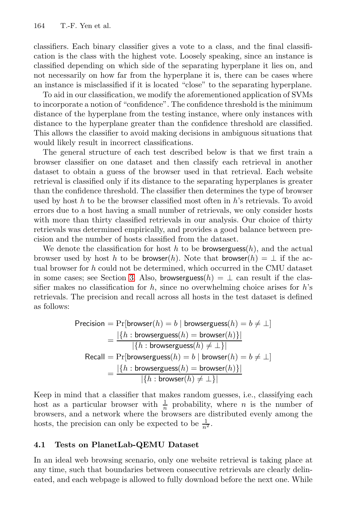classifiers. Each binary classifier gives a vote to a class, and the final classification is the class with the highest vote. Loosely speaking, since an instance is classified depending on which side of the separating hyperplane it lies on, and not necessarily on how far from the hyperplane it is, there can be cases where an instance is misclassified if it is located "close" to the separating hyperplane.

To aid in our classification, we modify the aforementioned application of SVMs to incorporate a notion of "confidence". The confidence threshold is the minimum distance of the hyperplane from the testing instance, where only instances with distance to the hyperplane greater than the confidence threshold are classified. This allows the classifier to avoid making decisions in ambiguous situations that would likely result in incorrect classifications.

The general structure of each test described below is that we first train a browser classifier on one dataset and then classify each retrieval in another dataset to obtain a guess of the browser used in that retrieval. Each website retrieval is classified only if its distance to the separating hyperplanes is greater than the confidence threshold. The classifier then determines the type of browser used by [ho](#page-3-1)st *h* to be the browser classified most often in *h*'s retrievals. To avoid errors due to a host having a small number of retrievals, we only consider hosts with more than thirty classified retrievals in our analysis. Our choice of thirty retrievals was determined empirically, and provides a good balance between precision and the number of hosts classified from the dataset.

We denote the classification for host *h* to be **browserguess** $(h)$ , and the actual browser used by host *h* to be **browser**(*h*). Note that **browser**(*h*) =  $\perp$  if the actual browser for *h* could not be determined, which occurred in the CMU dataset in some cases; see Section 3. Also, browserguess $(h) = \perp$  can result if the classifier makes no classification for  $h$ , since no overwhelming choice arises for  $h$ 's retrievals. The precision and recall across all hosts in the test dataset is defined as follows:

$$
\begin{aligned} \text{Precision} &= \Pr[\text{browser}(h) = b \mid \text{browser}(h) = b \neq \bot] \\ &= \frac{|\{h: \text{browser}(h) = \text{browser}(h)\}|}{|\{h: \text{browser}(h) \neq \bot\}|} \\ \text{Recall} &= \Pr[\text{browser}(h) = b \mid \text{browser}(h) = b \neq \bot] \\ &= \frac{|\{h: \text{browser}(h) = \text{browser}(h)\}|}{|\{h: \text{browser}(h) \neq \bot\}|} \end{aligned}
$$

<span id="page-7-0"></span>Keep in mind that a classifier that makes random guesses, i.e., classifying each host as a particular browser with  $\frac{1}{n}$  probability, where *n* is the number of browsers, and a network where the browsers are distributed evenly among the hosts, the precision can only be expected to be  $\frac{1}{n^2}$ .

#### **4.1 Tests on PlanetLab-QEMU Dataset**

In an ideal web browsing scenario, only one website retrieval is taking place at any time, such that boundaries between consecutive retrievals are clearly delineated, and each webpage is allowed to fully download before the next one. While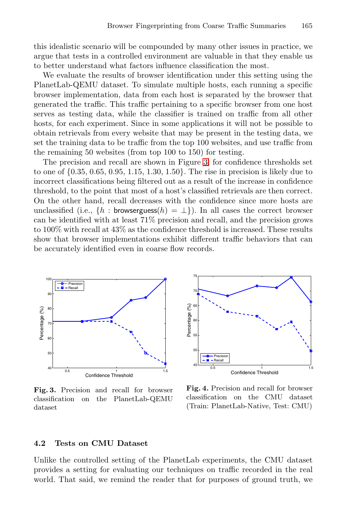this idealistic scenario will be compounded by many other issues in practice, we argue that tests in a controlled environment are valuable in that they enable us to better understand what factors influence classification the most.

We evaluate the results of browser identification under this setting using the PlanetLab-QEMU dataset. [To](#page-8-0) simulate multiple hosts, each running a specific browser implementation, data from each host is separated by the browser that generated the traffic. This traffic pertaining to a specific browser from one host serves as testing data, while the classifier is trained on traffic from all other hosts, for each experiment. Since in some applications it will not be possible to obtain retrievals from every website that may be present in the testing data, we set the training data to be traffic from the top 100 websites, and use traffic from the remaining 50 websites (from top 100 to 150) for testing.

The precision and recall are shown in Figure 3, for confidence thresholds set to one of {0.35, 0.65, 0.95, 1.15, 1.30, 1.50}. The rise in precision is likely due to incorrect classifications being filtered out as a result of the increase in confidence threshold, to the point that most of a host's classified retrievals are then correct. On the other hand, recall decreases with the confidence since more hosts are unclassified (i.e.,  $\{h : \text{browsergues}(h) = \perp\}$ ). In all cases the correct browser can be identified with at least 71% precision and recall, and the precision grows to 100% with recall at 43% as the confidence threshold is increased. These results show that browser implementations exhibit different traffic behaviors that can be accurately identified even in coarse flow records.

<span id="page-8-0"></span>

**Fig. 3.** Precision and recall for browser classification on the PlanetLab-QEMU dataset



**Fig. 4.** Precision and recall for browser classification on the CMU dataset (Train: PlanetLab-Native, Test: CMU)

#### **4.2 Tests on CMU Dataset**

Unlike the controlled setting of the PlanetLab experiments, the CMU dataset provides a setting for evaluating our techniques on traffic recorded in the real world. That said, we remind the reader that for purposes of ground truth, we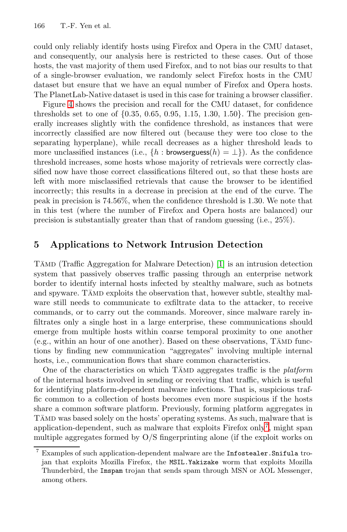could only reliably identify hosts using Firefox and Opera in the CMU dataset, and consequently, our analysis here is restricted to these cases. Out of those hosts, the vast majority of them used Firefox, and to not bias our results to that of a single-browser evaluation, we randomly select Firefox hosts in the CMU dataset but ensure that we have an equal number of Firefox and Opera hosts. The PlanetLab-Native dataset is used in this case for training a browser classifier.

Figure 4 shows the precision and recall for the CMU dataset, for confidence thresholds set to one of {0.35, 0.65, 0.95, 1.15, 1.30, 1.50}. The precision generally increases slightly with the confidence threshold, as instances that were incorrectly classified are now filtered out (because they were too close to the separating hyperplane), while recall decreases as a higher threshold leads to more unclassified instances (i.e.,  $\{h : \text{browserguess}(h) = \perp\}$ ). As the confidence threshold increases, some hosts whose majority of retrievals were correctly classified now have those correct classifications filtered out, so that these hosts are left with more misclassified retrievals that cause the browser to be identified incorrectly; this results in a decr[ea](#page-16-0)se in precision at the end of the curve. The peak in precision is 74*.*56%, when the confidence threshold is 1.30. We note that in this test (where the number of Firefox and Opera hosts are balanced) our precision is substantially greater than that of random guessing (i.e., 25%).

# **5 Applications to Network Intrusion Detection**

 $T\bar{A}MD$  (Traffic Aggregation for Malware Detection) [1] is an intrusion detection system that passively observes traffic passing through an enterprise network border to identify internal hosts infected by stealthy malware, such as botnets and spyware. T $\overline{A}$ MD exploits the observation that, however subtle, stealthy malware still needs to communicate to exfiltrate data to the attacker, to receive commands, or to carry out the commands. Moreover, since malware rarely infiltrates only a single host in a large enterprise, these communications should emerge from multiple hosts within coarse temporal proximity to one another (e.g., within an hour of one another). Based on these observations,  $T\overline{A}MD$  functions by finding new communication "aggreg[at](#page-9-0)es" involving multiple internal hosts, i.e., communication flows that share common characteristics.

<span id="page-9-0"></span>One of the characteristics on which TAMD aggregates traffic is the *platform* of the internal hosts involved in sending or receiving that traffic, which is useful for identifying platform-dependent malware infections. That is, suspicious traffic common to a collection of hosts becomes even more suspicious if the hosts share a common software platform. Previously, forming platform aggregates in TAMD was based solely on the hosts' operating systems. As such, malware that is application-dependent, such as malware that exploits Firefox only<sup>7</sup>, might span multiple aggregates formed by O/S fingerprinting alone (if the exploit works on

Examples of such application-dependent malware are the Infostealer. Snifula trojan that exploits Mozilla Firefox, the MSIL.Yakizake worm that exploits Mozilla Thunderbird, the Imspam trojan that sends spam through MSN or AOL Messenger, among others.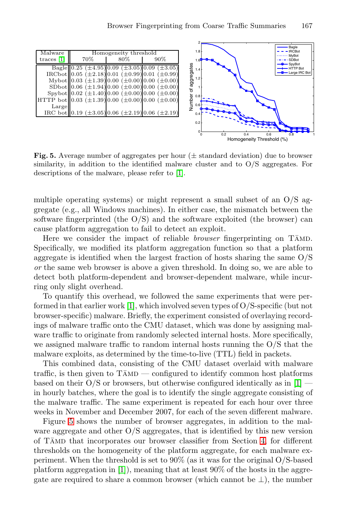

**Fig. 5.** Average number of aggregates per hour (*±* standard deviation) due to browser similarity, in addition to the identified malware cluster and to O/S aggregates. For descriptions of the malware, please refer to [1].

multiple operating systems) or might represent a small subset of an O/S aggregate (e.g., all Windows machines). In either case, the mismatch between the software fingerprinted (the  $O/S$ ) and the software exploited (the browser) can cause p[lat](#page-16-0)form aggregation to fail to detect an exploit.

Here we consider the impact of reliable *browser* fingerprinting on TAMD. Specifically, we modified its platform aggregation function so that a platform aggregate is identified when the largest fraction of hosts sharing the same O/S *or* the same web browser is above a given threshold. In doing so, we are able to detect both platform-dependent and browser-dependent malware, while incurring only slight overhead.

To quantify this overhead, we followed the same experiments that were performed in that earlier work [1], which involved seven type[s o](#page-16-0)f O/S-specific (but not browser-specific) malware. Briefly, the experiment consisted of overlaying recordings of malware traffic onto the CMU dataset, which was done by assigning malware traffic to originate from randomly selected internal hosts. More specifically, we assigned malware traffic to random internal hosts running the O/S that the malware exploits, as determined by the time-to-live (TTL) field in packets.

This combined data, consisting of the C[MU](#page-5-0) dataset overlaid with malware traffic, is then given to  $\overline{T}$ AMD — configured to identify common host platforms based on their  $O/S$  or browsers, but otherwise configured identically as in  $[1]$ in ho[ur](#page-16-0)ly batches, where the goal is to identify the single aggregate consisting of the malware traffic. The same experiment is repeated for each hour over three weeks in November and December 2007, for each of the seven different malware.

Figure 5 shows the number of browser aggregates, in addition to the malware aggregate and other O/S aggregates, that is identified by this new version of  $T\overline{A}MD$  that incorporates our browser classifier from Section 4, for different thresholds on the homogeneity of the platform aggregate, for each malware experiment. When the threshold is set to 90% (as it was for the original O/S-based platform aggregation in [1]), meaning that at least 90% of the hosts in the aggregate are required to share a common browser (which cannot be  $\perp$ ), the number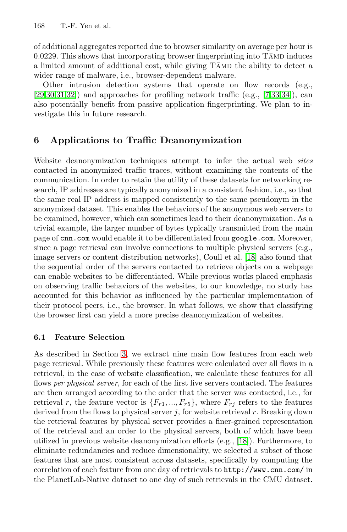of additional aggregates reported due to browser similarity on average per hour is 0.0229. This shows that incorporating browser fingerprinting into  $T\overline{A}MD$  induces a limited amount of additional cost, while giving  $T\overline{A}MD$  the ability to detect a wider range of malware, i.e., browser-dependent malware.

Other intrusion detection systems that operate on flow records (e.g.,  $[29,30,31,32]$  and approaches for profiling network traffic (e.g.,  $[7,33,34]$ ), can also potentially benefit from passive application fingerprinting. We plan to investigate this in future research.

## **6 Applications to Traffic Deanonymization**

Website deanonymization technique[s attempt to](google.com) infer the actual web *sites* contacted in anonymized traffic traces, without examining the contents of the communication. In order to retain the util[ity](#page-17-7) of these datasets for networking research, IP addresses are typically anonymized in a consistent fashion, i.e., so that the same real IP address is mapped consistently to the same pseudonym in the anonymized dataset. This enables the behaviors of the anonymous web servers to be examined, however, which can sometimes lead to their deanonymization. As a trivial example, the larger number of bytes typically transmitted from the main page of cnn.com would enable it to be differentiated from google.com. Moreover, since a page retrieval can involve connections to multiple physical servers (e.g., image servers or content distribution networks), Coull et al. [18] also found that the sequential order of the servers contacted to retrieve objects on a webpage can e[na](#page-3-1)ble websites to be differentiated. While previous works placed emphasis on observing traffic behaviors of the websites, to our knowledge, no study has accounted for this behavior as influenced by the particular implementation of their protocol peers, i.e., the browser. In what follows, we show that classifying the browser first can yield a more precise deanonymization of websites.

## <span id="page-11-0"></span>**6.1 Feature Selection**

As described in Section 3, we extract nine main flow features from each web page retrieval. While previously these f[eatu](#page-17-7)res were calculated over all flows in a retrieval, in the case of website classification, we calculate these features for all flows *per physical server*, for each of the first five servers contacted. The features are then arranged according to the [order that the server w](http://www.cnn.com/)as contacted, i.e., for retrieval *r*, the feature vector is  $\{F_{r1},...,F_{r5}\}$ , where  $F_{rj}$  refers to the features derived from the flows to physical server *j*, for website retrieval *r*. Breaking down the retrieval features by physical server provides a finer-grained representation of the retrieval and an order to the physical servers, both of which have been utilized in previous website deanonymization efforts (e.g., [18]). Furthermore, to eliminate redundancies and reduce dimensionality, we selected a subset of those features that are most consistent across datasets, specifically by computing the correlation of each feature from one day of retrievals to http://www.cnn.com/ in the PlanetLab-Native dataset to one day of such retrievals in the CMU dataset.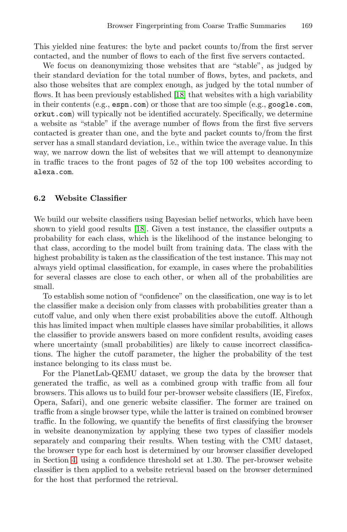This yielded nine features: the byte and packet counts to/from the first server contacted, and the number of flows to each of the first five servers contacted.

We focus on deanonymizing those websites that are "stable", as judged by their standard deviation for the total number of flows, bytes, and packets, and also those websites that are complex enough, as judged by the total number of flows. It has been previously established [18] that websites with a high variability in their contents (e.g.,  $\varepsilon$ spn.com) or those that are too simple (e.g.,  $\sigma$ oogle.com, orkut.com) will typically not be identified accurately. Specifically, we determine a website as "stable" if the average number of flows from the first five servers contacted is greater than one, and the byte and packet counts to/from the first server has a small standard deviation, i.e., within twice the average value. In this way, we n[arr](#page-17-7)ow down the list of websites that we will attempt to deanonymize in traffic traces to the front pages of 52 of the top 100 websites according to alexa.com.

# **6.2 Website Classifier**

We build our website classifiers using Bayesian belief networks, which have been shown to yield good results [18]. Given a test instance, the classifier outputs a probability for each class, which is the likelihood of the instance belonging to that class, according to the model built from training data. The class with the highest probability is taken as the classification of the test instance. This may not always yield optimal classification, for example, in cases where the probabilities for several classes are close to each other, or when all of the probabilities are small.

To establish some notion of "confidence" on the classification, one way is to let the classifier make a decision only from classes with probabilities greater than a cutoff value, and only when there exist probabilities above the cutoff. Although this has limited impact when multiple classes have similar probabilities, it allows the classifier to provide answers based on more confident results, avoiding cases where uncertainty (small probabilities) are likely to cause incorrect classifications. The higher the cutoff parameter, the higher the probability of the test instance belonging to its class must be.

For the PlanetLab-QEMU dataset, we group the data by the browser that generated the traffic, as well as a combined group with traffic from all four browsers. This allows us to build four per-browser website classifiers (IE, Firefox, Opera, Safari), and one generic website classifier. The former are trained on traffic from a single browser type, while the latter is trained on combined browser traffic. In the following, we quantify the benefits of first classifying the browser in website deanonymization by applying these two types of classifier models separately and comparing their results. When testing with the CMU dataset, the browser type for each host is determined by our browser classifier developed in Section 4, using a confidence threshold set at 1.30. The per-browser website classifier is then applied to a website retrieval based on the browser determined for the host that performed the retrieval.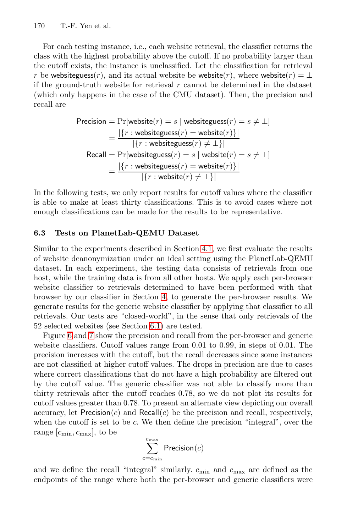For each testing instance, i.e., each website retrieval, the classifier returns the class with the highest probability above the cutoff. If no probability larger than the cutoff exists, the instance is unclassified. Let the classification for retrieval *r* be websiteguess(*r*), and its actual website be website(*r*), where website(*r*) = ⊥ if the ground-truth website for retrieval *r* cannot be determined in the dataset (which only happens in the case of the CMU dataset). Then, the precision and recall are

$$
\begin{aligned} \text{Precision} &= \Pr[\text{website}(r) = s \mid \text{websiteguess}(r) = s \neq \bot] \\ &= \frac{|\{r: \text{websiteguess}(r) = \text{website}(r)\}|}{|\{r: \text{websiteguess}(r) \neq \bot\}|} \\ \text{Recall} &= \Pr[\text{websiteguess}(r) = s \mid \text{website}(r) = s \neq \bot] \\ &= \frac{|\{r: \text{websiteguess}(r) = \text{website}(r)\}|}{|\{r: \text{website}(r) \neq \bot\}|} \end{aligned}
$$

In the following tests, we only report results for cutoff values where the classifier is able to make at least thirty classifications. This is to avoid cases where not enough classifications can be made for the results to be representative.

## **6.3 Tests on PlanetLab-QEMU Dataset**

Similar to the [exp](#page-11-0)eriments described in Section 4.1, we first evaluate the results of website deanonymization under an ideal setting using the PlanetLab-QEMU dataset. In each experiment, the testing data consists of retrievals from one host, while the training data is from all other hosts. We apply each per-browser website classifier to retrievals determined to have been performed with that browser by our classifier in Section 4, to generate the per-browser results. We generate results for the generic website classifier by applying that classifier to all retrievals. Our tests are "closed-world", in the sense that only retrievals of the 52 selected websites (see Section 6.1) are tested.

Figure 6 and 7 show the precision and recall from the per-browser and generic website classifiers. Cutoff values range from 0.01 to 0.99, in steps of 0.01. The precision increases with the cutoff, but the recall decreases since some instances are not classified at higher cutoff values. The drops in precision are due to cases where correct classifications that do not have a high probability are filtered out by the cutoff value. The generic classifier was not able to classify more than thirty retrievals after the cutoff reaches 0*.*78, so we do not plot its results for cutoff values greater than 0*.*78. To present an alternate view depicting our overall accuracy, let  $Precision(c)$  and  $Recall(c)$  be the precision and recall, respectively, when the cutoff is set to be *c*. We then define the precision "integral", over the range  $[c_{\min}, c_{\max}]$ , to be

$$
\sum_{c=c_{\min}}^{c_{\max}} \mathsf{Precision}(c)
$$

and we define the recall "integral" similarly.  $c_{\min}$  and  $c_{\max}$  are defined as the endpoints of the range where both the per-browser and generic classifiers were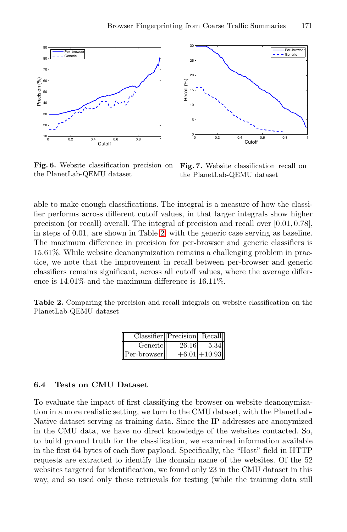



**Fig. 6.** Website c[las](#page-14-0)sification precision on **Fig. 7.** Website classification recall on the PlanetLab-QEMU dataset

the PlanetLab-QEMU dataset

<span id="page-14-0"></span>able to make enough classifications. The integral is a measure of how the classifier performs across different cutoff values, in that larger integrals show higher precision (or recall) overall. The integral of precision and recall over [0*.*01*,* 0*.*78], in steps of 0.01, are shown in Table 2, with the generic case serving as baseline. The maximum difference in precision for per-browser and generic classifiers is 15*.*61%. While website deanonymization remains a challenging problem in practice, we note that the improvement in recall between per-browser and generic classifiers remains significant, across all cutoff values, where the average difference is 14*.*01% and the maximum difference is 16*.*11%.

**Table 2.** Comparing the precision and recall integrals on website classification on the PlanetLab-QEMU dataset

| Classifier Precision Recall |       |                 |
|-----------------------------|-------|-----------------|
| Generic                     | 26.16 | 5.34            |
| Per-browser                 |       | $+6.01 +10.93 $ |

#### **6.4 Tests on CMU Dataset**

To evaluate the impact of first classifying the browser on website deanonymization in a more realistic setting, we turn to the CMU dataset, with the PlanetLab-Native dataset serving as training data. Since the IP addresses are anonymized in the CMU data, we have no direct knowledge of the websites contacted. So, to build ground truth for the classification, we examined information available in the first 64 bytes of each flow payload. Specifically, the "Host" field in HTTP requests are extracted to identify the domain name of the websites. Of the 52 websites targeted for identification, we found only 23 in the CMU dataset in this way, and so used only these retrievals for testing (while the training data still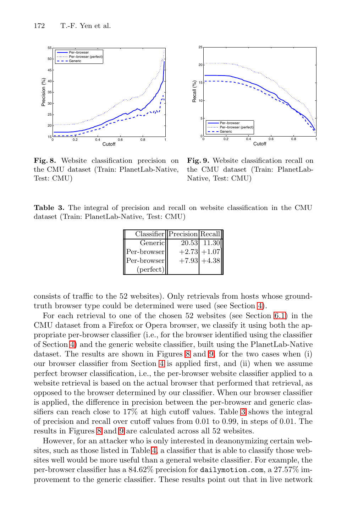<span id="page-15-1"></span>

<span id="page-15-2"></span>

<span id="page-15-0"></span>**Fig. 8.** Website classification precision on the CMU dataset (Train: PlanetLab-Native, Test: CMU)

**Fig. 9.** Website classification recall on the CMU dataset (Train: PlanetLab-Native, Test: CMU)

**Table 3.** The integral of precision and recall on website classification in the CMU dataset (Train: PlanetLab-Native, Test: CMU)

|                    | Classifier Precision Recall |               |
|--------------------|-----------------------------|---------------|
| Generic            |                             | 20.53 11.30   |
| Per-browser        |                             | $+2.73 +1.07$ |
| Per-browser        |                             | $+7.93 +4.38$ |
| $(\text{perfect})$ |                             |               |

consists of traffic to the 52 websites). Only retrievals from hosts whose groundtruth browser type could be determined were used (see Section 4).

For each retrieval to one of the chosen 52 websites (see Section 6.1) in the CMU dataset from a Firefox or Opera browser, we classify it using both the appropriate per-browser classifier (i.e., for [th](#page-15-0)e browser identified using the classifier of Section 4) and the generic website classifier, built using the PlanetLab-Native [d](#page-15-1)ata[set](#page-15-2). The results are shown in Figures 8 and 9, for the two cases when (i) our browser classifier from Section 4 is applied first, and (ii) when we assume perfect browse[r c](#page-16-2)lassification, i.e., the per-browser website classifier applied to a website retrieval is based on the actual browser that performed that retrieval, as opposed to the browser dete[rmined by our](dailymotion.com) classifier. When our browser classifier is applied, the difference in precision between the per-browser and generic classifiers can reach close to 17% at high cutoff values. Table 3 shows the integral of precision and recall over cutoff values from 0.01 to 0.99, in steps of 0.01. The results in Figures 8 and 9 are calculated across all 52 websites.

However, for an attacker who is only interested in deanonymizing certain websites, such as those listed in Table 4, a classifier that is able to classify those websites well would be more useful than a general website classifier. For example, the per-browser classifier has a 84*.*62% precision for dailymotion.com, a 27*.*57% improvement to the generic classifier. These results point out that in live network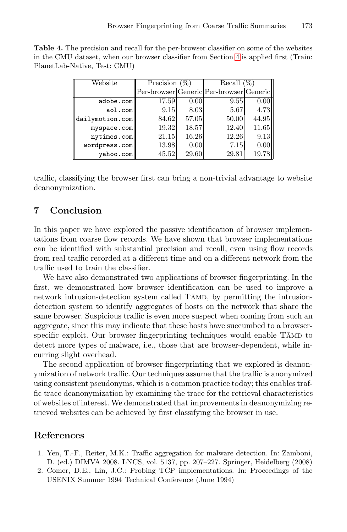<span id="page-16-2"></span>**[Table](dailymotion.com) [4.](dailymotion.com)** The precision and recall for the per-browser classifier on some of the websites [in](myspace.com) [the](myspace.com) [CMU](myspace.com) dataset, when our browser classifier from Section 4 is applied first (Train: [PlanetLab-](nytimes.com)Native, Test: CMU)

| Website         | Precision $(\%)$                        |       | Recall $(\%)$ |       |
|-----------------|-----------------------------------------|-------|---------------|-------|
|                 | Per-browser Generic Per-browser Generic |       |               |       |
| adobe.com       | 17.59                                   | 0.00  | 9.55          | 0.00  |
| aol.com         | 9.15                                    | 8.03  | 5.67          | 4.73  |
| dailymotion.com | 84.62                                   | 57.05 | 50.00         | 44.95 |
| myspace.com     | 19.32                                   | 18.57 | 12.40         | 11.65 |
| nytimes.com     | 21.15                                   | 16.26 | 12.26         | 9.13  |
| wordpress.com   | 13.98                                   | 0.00  | 7.15          | 0.00  |
| vahoo.com       | 45.52                                   | 29.60 | 29.81         | 19.78 |

traffic, classifying the browser first can bring a non-trivial advantage to website deanonymization.

# **7 Conclusion**

In this paper we have explored the passive identification of browser implementations from coarse flow records. We have shown that browser implementations can be identified with substantial precision and recall, even using flow records from real traffic recorded at a different time and on a different network from the traffic used to train the classifier.

We have also demonstrated two applications of browser fingerprinting. In the first, we demonstrated how browser identification can be used to improve a network intrusion-detection system called  $\overline{T}$ AMD, by permitting the intrusiondetection system to identify aggregates of hosts on the network that share the same browser. Suspicious traffic is even more suspect when coming from such an aggregate, since this may indicate that these hosts have succumbed to a browserspecific exploit. Our browser fingerprinting techniques would enable  $T\bar{A}MD$  to detect more types of malware, i.e., those that are browser-dependent, while incurring slight overhead.

<span id="page-16-1"></span><span id="page-16-0"></span>The second application of browser fingerprinting that we explored is deanonymization of network traffic. Our techniques assume that the traffic is anonymized using consistent pseudonyms, which is a common practice today; this enables traffic trace deanonymization by examining the trace for the retrieval characteristics of websites of interest. We demonstrated that improvements in deanonymizing retrieved websites can be achieved by first classifying the browser in use.

# **References**

- 1. Yen, T.-F., Reiter, M.K.: Traffic aggregation for malware detection. In: Zamboni, D. (ed.) DIMVA 2008. LNCS, vol. 5137, pp. 207–227. Springer, Heidelberg (2008)
- 2. Comer, D.E., Lin, J.C.: Probing TCP implementations. In: Proceedings of the USENIX Summer 1994 Technical Conference (June 1994)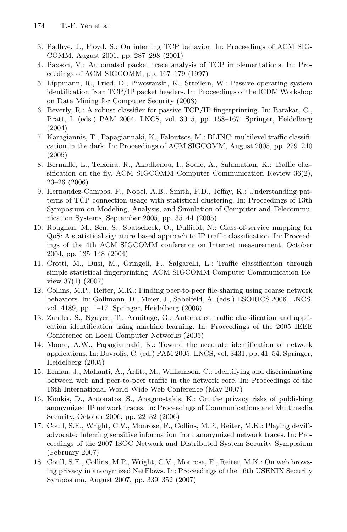- <span id="page-17-0"></span>3. Padhye, J., Floyd, S.: On inferring TCP behavior. In: Proceedings of ACM SIG-COMM, August 2001, pp. 287–298 (2001)
- 4. Paxson, V.: Automated packet trace analysis of TCP implementations. In: Proceedings of ACM SIGCOMM, pp. 167–179 (1997)
- 5. Lippmann, R., Fried, D., Piwowarski, K., Streilein, W.: Passive operating system identification from TCP/IP packet headers. In: Proceedings of the ICDM Workshop on Data Mining for Computer Security (2003)
- 6. Beverly, R.: A robust classifier for passive TCP/IP fingerprinting. In: Barakat, C., Pratt, I. (eds.) PAM 2004. LNCS, vol. 3015, pp. 158–167. Springer, Heidelberg (2004)
- <span id="page-17-1"></span>7. Karagiannis, T., Papagiannaki, K., Faloutsos, M.: BLINC: multilevel traffic classification in the dark. In: Proceedings of ACM SIGCOMM, August 2005, pp. 229–240 (2005)
- <span id="page-17-2"></span>8. Bernaille, L., Teixeira, R., Akodkenou, I., Soule, A., Salamatian, K.: Traffic classification on the fly. ACM SIGCOMM Computer Communication Review 36(2), 23–26 (2006)
- <span id="page-17-3"></span>9. Hernandez-Campos, F., Nobel, A.B., Smith, F.D., Jeffay, K.: Understanding patterns of TCP connection usage with statistical clustering. In: Proceedings of 13th Symposium on Modeling, Analysis, and Simulation of Computer and Telecommunication Systems, September 2005, pp. 35–44 (2005)
- <span id="page-17-4"></span>10. Roughan, M., Sen, S., Spatscheck, O., Duffield, N.: Class-of-service mapping for QoS: A statistical signature-based approach to IP traffic classification. In: Proceedings of the 4th ACM SIGCOMM conference on Internet measurement, October 2004, pp. 135–148 (2004)
- <span id="page-17-5"></span>11. Crotti, M., Dusi, M., Gringoli, F., Salgarelli, L.: Traffic classification through simple statistical fingerprinting. ACM SIGCOMM Computer Communication Review 37(1) (2007)
- 12. Collins, M.P., Reiter, M.K.: Finding peer-to-peer file-sharing using coarse network behaviors. In: Gollmann, D., Meier, J., Sabelfeld, A. (eds.) ESORICS 2006. LNCS, vol. 4189, pp. 1–17. Springer, Heidelberg (2006)
- 13. Zander, S., Nguyen, T., Armitage, G.: Automated traffic classification and application identification using machine learning. In: Proceedings of the 2005 IEEE Conference on Local Computer Networks (2005)
- 14. Moore, A.W., Papagiannaki, K.: Toward the accurate identification of network applications. In: Dovrolis, C. (ed.) PAM 2005. LNCS, vol. 3431, pp. 41–54. Springer, Heidelberg (2005)
- <span id="page-17-6"></span>15. Erman, J., Mahanti, A., Arlitt, M., Williamson, C.: Identifying and discriminating between web and peer-to-peer traffic in the network core. In: Proceedings of the 16th International World Wide Web Conference (May 2007)
- <span id="page-17-8"></span>16. Koukis, D., Antonatos, S., Anagnostakis, K.: On the privacy risks of publishing anonymized IP network traces. In: Proceedings of Communications and Multimedia Security, October 2006, pp. 22–32 (2006)
- 17. Coull, S.E., Wright, C.V., Monrose, F., Collins, M.P., Reiter, M.K.: Playing devil's advocate: Inferring sensitive information from anonymized network traces. In: Proceedings of the 2007 ISOC Network and Distributed System Security Symposium (February 2007)
- <span id="page-17-7"></span>18. Coull, S.E., Collins, M.P., Wright, C.V., Monrose, F., Reiter, M.K.: On web browsing privacy in anonymized NetFlows. In: Proceedings of the 16th USENIX Security Symposium, August 2007, pp. 339–352 (2007)